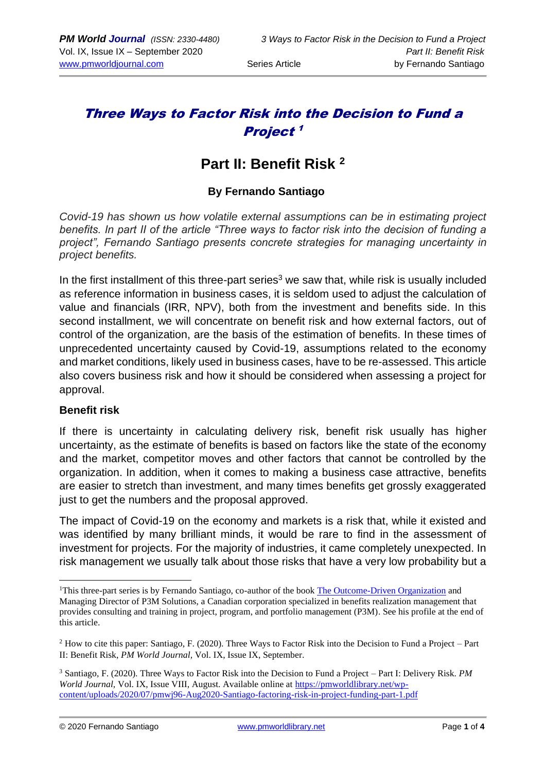# Three Ways to Factor Risk into the Decision to Fund a Project 1

# **Part II: Benefit Risk <sup>2</sup>**

### **By Fernando Santiago**

*Covid-19 has shown us how volatile external assumptions can be in estimating project benefits. In part II of the article "Three ways to factor risk into the decision of funding a project", Fernando Santiago presents concrete strategies for managing uncertainty in project benefits.* 

In the first installment of this three-part series<sup>3</sup> we saw that, while risk is usually included as reference information in business cases, it is seldom used to adjust the calculation of value and financials (IRR, NPV), both from the investment and benefits side. In this second installment, we will concentrate on benefit risk and how external factors, out of control of the organization, are the basis of the estimation of benefits. In these times of unprecedented uncertainty caused by Covid-19, assumptions related to the economy and market conditions, likely used in business cases, have to be re-assessed. This article also covers business risk and how it should be considered when assessing a project for approval.

#### **Benefit risk**

If there is uncertainty in calculating delivery risk, benefit risk usually has higher uncertainty, as the estimate of benefits is based on factors like the state of the economy and the market, competitor moves and other factors that cannot be controlled by the organization. In addition, when it comes to making a business case attractive, benefits are easier to stretch than investment, and many times benefits get grossly exaggerated just to get the numbers and the proposal approved.

The impact of Covid-19 on the economy and markets is a risk that, while it existed and was identified by many brilliant minds, it would be rare to find in the assessment of investment for projects. For the majority of industries, it came completely unexpected. In risk management we usually talk about those risks that have a very low probability but a

<sup>&</sup>lt;sup>1</sup>This three-part series is by Fernando Santiago, co-author of the book [The Outcome-Driven](https://www.amazon.com/Outcome-Driven-Organization-project-portfolio-espresso-ebook/dp/B08CCGHDGB) Organization and Managing Director of P3M Solutions, a Canadian corporation specialized in benefits realization management that provides consulting and training in project, program, and portfolio management (P3M). See his profile at the end of this article.

<sup>2</sup> How to cite this paper: Santiago, F. (2020). Three Ways to Factor Risk into the Decision to Fund a Project – Part II: Benefit Risk, *PM World Journal,* Vol. IX, Issue IX, September.

<sup>3</sup> Santiago, F. (2020). Three Ways to Factor Risk into the Decision to Fund a Project – Part I: Delivery Risk. *PM World Journal,* Vol. IX, Issue VIII, August. Available online a[t https://pmworldlibrary.net/wp](https://pmworldlibrary.net/wp-content/uploads/2020/07/pmwj96-Aug2020-Santiago-factoring-risk-in-project-funding-part-1.pdf)[content/uploads/2020/07/pmwj96-Aug2020-Santiago-factoring-risk-in-project-funding-part-1.pdf](https://pmworldlibrary.net/wp-content/uploads/2020/07/pmwj96-Aug2020-Santiago-factoring-risk-in-project-funding-part-1.pdf)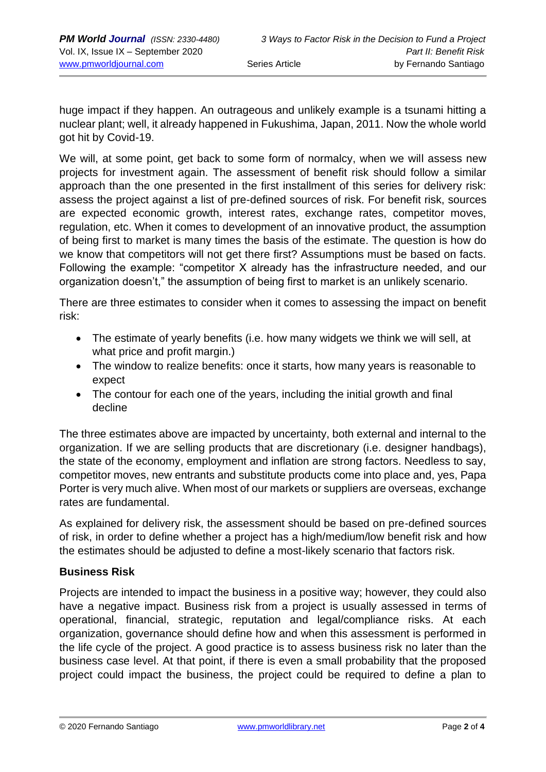huge impact if they happen. An outrageous and unlikely example is a tsunami hitting a nuclear plant; well, it already happened in Fukushima, Japan, 2011. Now the whole world got hit by Covid-19.

We will, at some point, get back to some form of normalcy, when we will assess new projects for investment again. The assessment of benefit risk should follow a similar approach than the one presented in the first installment of this series for delivery risk: assess the project against a list of pre-defined sources of risk. For benefit risk, sources are expected economic growth, interest rates, exchange rates, competitor moves, regulation, etc. When it comes to development of an innovative product, the assumption of being first to market is many times the basis of the estimate. The question is how do we know that competitors will not get there first? Assumptions must be based on facts. Following the example: "competitor X already has the infrastructure needed, and our organization doesn't," the assumption of being first to market is an unlikely scenario.

There are three estimates to consider when it comes to assessing the impact on benefit risk:

- The estimate of yearly benefits (i.e. how many widgets we think we will sell, at what price and profit margin.)
- The window to realize benefits: once it starts, how many years is reasonable to expect
- The contour for each one of the years, including the initial growth and final decline

The three estimates above are impacted by uncertainty, both external and internal to the organization. If we are selling products that are discretionary (i.e. designer handbags), the state of the economy, employment and inflation are strong factors. Needless to say, competitor moves, new entrants and substitute products come into place and, yes, Papa Porter is very much alive. When most of our markets or suppliers are overseas, exchange rates are fundamental.

As explained for delivery risk, the assessment should be based on pre-defined sources of risk, in order to define whether a project has a high/medium/low benefit risk and how the estimates should be adjusted to define a most-likely scenario that factors risk.

### **Business Risk**

Projects are intended to impact the business in a positive way; however, they could also have a negative impact. Business risk from a project is usually assessed in terms of operational, financial, strategic, reputation and legal/compliance risks. At each organization, governance should define how and when this assessment is performed in the life cycle of the project. A good practice is to assess business risk no later than the business case level. At that point, if there is even a small probability that the proposed project could impact the business, the project could be required to define a plan to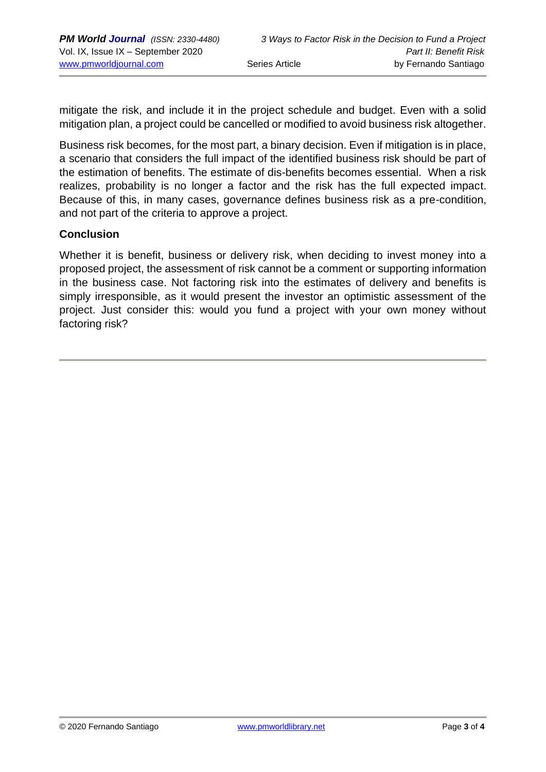mitigate the risk, and include it in the project schedule and budget. Even with a solid mitigation plan, a project could be cancelled or modified to avoid business risk altogether.

Business risk becomes, for the most part, a binary decision. Even if mitigation is in place, a scenario that considers the full impact of the identified business risk should be part of the estimation of benefits. The estimate of dis-benefits becomes essential. When a risk realizes, probability is no longer a factor and the risk has the full expected impact. Because of this, in many cases, governance defines business risk as a pre-condition, and not part of the criteria to approve a project.

#### **Conclusion**

Whether it is benefit, business or delivery risk, when deciding to invest money into a proposed project, the assessment of risk cannot be a comment or supporting information in the business case. Not factoring risk into the estimates of delivery and benefits is simply irresponsible, as it would present the investor an optimistic assessment of the project. Just consider this: would you fund a project with your own money without factoring risk?